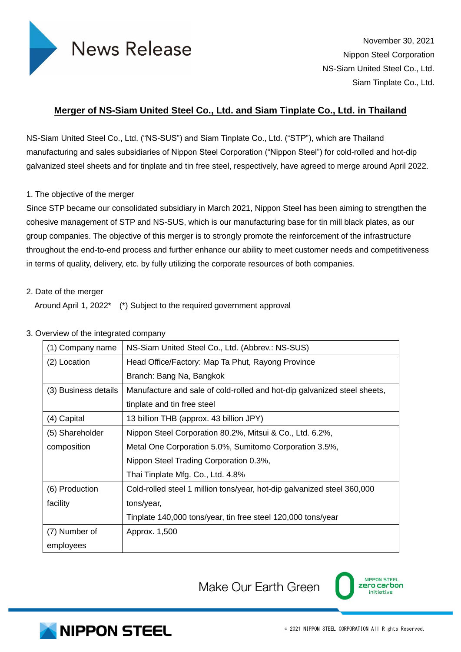

November 30, 2021 Nippon Steel Corporation NS-Siam United Steel Co., Ltd. Siam Tinplate Co., Ltd.

## **Merger of NS-Siam United Steel Co., Ltd. and Siam Tinplate Co., Ltd. in Thailand**

NS-Siam United Steel Co., Ltd. ("NS-SUS") and Siam Tinplate Co., Ltd. ("STP"), which are Thailand manufacturing and sales subsidiaries of Nippon Steel Corporation ("Nippon Steel") for cold-rolled and hot-dip galvanized steel sheets and for tinplate and tin free steel, respectively, have agreed to merge around April 2022.

## 1. The objective of the merger

Since STP became our consolidated subsidiary in March 2021, Nippon Steel has been aiming to strengthen the cohesive management of STP and NS-SUS, which is our manufacturing base for tin mill black plates, as our group companies. The objective of this merger is to strongly promote the reinforcement of the infrastructure throughout the end-to-end process and further enhance our ability to meet customer needs and competitiveness in terms of quality, delivery, etc. by fully utilizing the corporate resources of both companies.

## 2. Date of the merger

Around April 1, 2022\* (\*) Subject to the required government approval

## 3. Overview of the integrated company

| (1) Company name     | NS-Siam United Steel Co., Ltd. (Abbrev.: NS-SUS)                         |  |
|----------------------|--------------------------------------------------------------------------|--|
| (2) Location         | Head Office/Factory: Map Ta Phut, Rayong Province                        |  |
|                      | Branch: Bang Na, Bangkok                                                 |  |
| (3) Business details | Manufacture and sale of cold-rolled and hot-dip galvanized steel sheets, |  |
|                      | tinplate and tin free steel                                              |  |
| (4) Capital          | 13 billion THB (approx. 43 billion JPY)                                  |  |
| (5) Shareholder      | Nippon Steel Corporation 80.2%, Mitsui & Co., Ltd. 6.2%,                 |  |
| composition          | Metal One Corporation 5.0%, Sumitomo Corporation 3.5%,                   |  |
|                      | Nippon Steel Trading Corporation 0.3%,                                   |  |
|                      | Thai Tinplate Mfg. Co., Ltd. 4.8%                                        |  |
| (6) Production       | Cold-rolled steel 1 million tons/year, hot-dip galvanized steel 360,000  |  |
| facility             | tons/year,                                                               |  |
|                      | Tinplate 140,000 tons/year, tin free steel 120,000 tons/year             |  |
| (7) Number of        | Approx. 1,500                                                            |  |
| employees            |                                                                          |  |

Make Our Earth Green